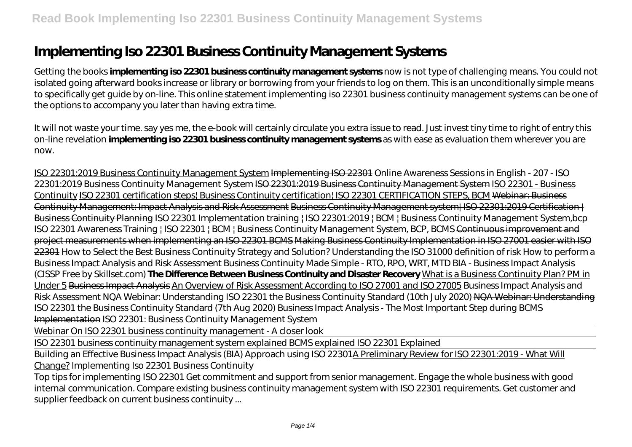# **Implementing Iso 22301 Business Continuity Management Systems**

Getting the books **implementing iso 22301 business continuity management systems** now is not type of challenging means. You could not isolated going afterward books increase or library or borrowing from your friends to log on them. This is an unconditionally simple means to specifically get guide by on-line. This online statement implementing iso 22301 business continuity management systems can be one of the options to accompany you later than having extra time.

It will not waste your time. say yes me, the e-book will certainly circulate you extra issue to read. Just invest tiny time to right of entry this on-line revelation **implementing iso 22301 business continuity management systems** as with ease as evaluation them wherever you are now.

ISO 22301:2019 Business Continuity Management System Implementing ISO 22301 Online Awareness Sessions in English - 207 - ISO 22301:2019 Business Continuity Management System ISO 22301:2019 Business Continuity Management System ISO 22301 - Business Continuity ISO 22301 certification steps! Business Continuity certification! ISO 22301 CERTIFICATION STEPS, BCM Webinar: Business Continuity Management: Impact Analysis and Risk Assessment Business Continuity Management system| ISO 22301:2019 Certification | Business Continuity Planning ISO 22301 Implementation training | ISO 22301:2019 | BCM | Business Continuity Management System, bcp *ISO 22301 Awareness Training | ISO 22301 | BCM | Business Continuity Management System, BCP, BCMS* Continuous improvement and project measurements when implementing an ISO 22301 BCMS Making Business Continuity Implementation in ISO 27001 easier with ISO 22301 How to Select the Best Business Continuity Strategy and Solution? *Understanding the ISO 31000 definition of risk How to perform a Business Impact Analysis and Risk Assessment Business Continuity Made Simple - RTO, RPO, WRT, MTD* BIA - Business Impact Analysis (CISSP Free by Skillset.com) **The Difference Between Business Continuity and Disaster Recovery** What is a Business Continuity Plan? PM in Under 5 Business Impact Analysis An Overview of Risk Assessment According to ISO 27001 and ISO 27005 Business Impact Analysis and Risk Assessment *NQA Webinar: Understanding ISO 22301 the Business Continuity Standard (10th July 2020)* NQA Webinar: Understanding ISO 22301 the Business Continuity Standard (7th Aug 2020) Business Impact Analysis - The Most Important Step during BCMS Implementation *ISO 22301: Business Continuity Management System*

Webinar On ISO 22301 business continuity management - A closer look

ISO 22301 business continuity management system explained BCMS explained ISO 22301 Explained

Building an Effective Business Impact Analysis (BIA) Approach using ISO 22301A Preliminary Review for ISO 22301:2019 - What Will Change? *Implementing Iso 22301 Business Continuity*

Top tips for implementing ISO 22301 Get commitment and support from senior management. Engage the whole business with good internal communication. Compare existing business continuity management system with ISO 22301 requirements. Get customer and supplier feedback on current business continuity ...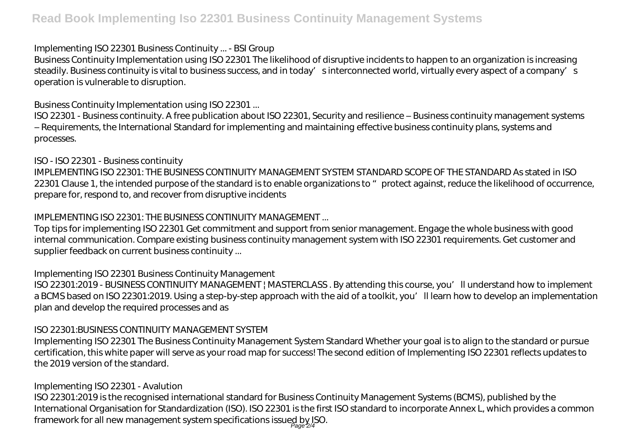#### *Implementing ISO 22301 Business Continuity ... - BSI Group*

Business Continuity Implementation using ISO 22301 The likelihood of disruptive incidents to happen to an organization is increasing steadily. Business continuity is vital to business success, and in today's interconnected world, virtually every aspect of a company's operation is vulnerable to disruption.

## *Business Continuity Implementation using ISO 22301 ...*

ISO 22301 - Business continuity. A free publication about ISO 22301, Security and resilience – Business continuity management systems – Requirements, the International Standard for implementing and maintaining effective business continuity plans, systems and processes.

## *ISO - ISO 22301 - Business continuity*

IMPLEMENTING ISO 22301: THE BUSINESS CONTINUITY MANAGEMENT SYSTEM STANDARD SCOPE OF THE STANDARD As stated in ISO 22301 Clause 1, the intended purpose of the standard is to enable organizations to "protect against, reduce the likelihood of occurrence, prepare for, respond to, and recover from disruptive incidents

# *IMPLEMENTING ISO 22301: THE BUSINESS CONTINUITY MANAGEMENT ...*

Top tips for implementing ISO 22301 Get commitment and support from senior management. Engage the whole business with good internal communication. Compare existing business continuity management system with ISO 22301 requirements. Get customer and supplier feedback on current business continuity ...

# *Implementing ISO 22301 Business Continuity Management*

ISO 22301:2019 - BUSINESS CONTINUITY MANAGEMENT | MASTERCLASS . By attending this course, you'll understand how to implement a BCMS based on ISO 22301:2019. Using a step-by-step approach with the aid of a toolkit, you'll learn how to develop an implementation plan and develop the required processes and as

# *ISO 22301:BUSINESS CONTINUITY MANAGEMENT SYSTEM*

Implementing ISO 22301 The Business Continuity Management System Standard Whether your goal is to align to the standard or pursue certification, this white paper will serve as your road map for success! The second edition of Implementing ISO 22301 reflects updates to the 2019 version of the standard.

# *Implementing ISO 22301 - Avalution*

ISO 22301:2019 is the recognised international standard for Business Continuity Management Systems (BCMS), published by the International Organisation for Standardization (ISO). ISO 22301 is the first ISO standard to incorporate Annex L, which provides a common framework for all new management system specifications issued by ISO.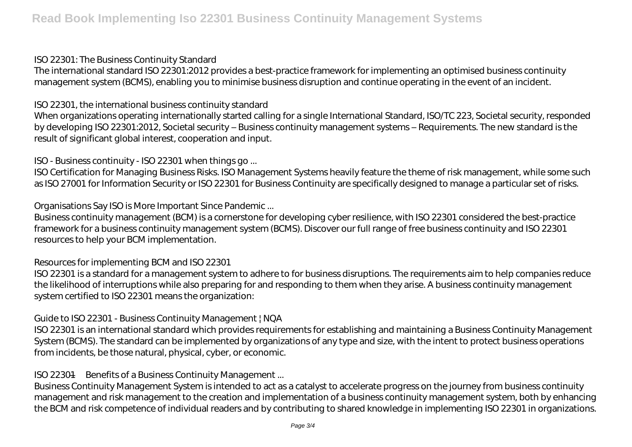#### *ISO 22301: The Business Continuity Standard*

The international standard ISO 22301:2012 provides a best-practice framework for implementing an optimised business continuity management system (BCMS), enabling you to minimise business disruption and continue operating in the event of an incident.

#### *ISO 22301, the international business continuity standard*

When organizations operating internationally started calling for a single International Standard, ISO/TC 223, Societal security, responded by developing ISO 22301:2012, Societal security – Business continuity management systems – Requirements. The new standard is the result of significant global interest, cooperation and input.

#### *ISO - Business continuity - ISO 22301 when things go ...*

ISO Certification for Managing Business Risks. ISO Management Systems heavily feature the theme of risk management, while some such as ISO 27001 for Information Security or ISO 22301 for Business Continuity are specifically designed to manage a particular set of risks.

## *Organisations Say ISO is More Important Since Pandemic ...*

Business continuity management (BCM) is a cornerstone for developing cyber resilience, with ISO 22301 considered the best-practice framework for a business continuity management system (BCMS). Discover our full range of free business continuity and ISO 22301 resources to help your BCM implementation.

## *Resources for implementing BCM and ISO 22301*

ISO 22301 is a standard for a management system to adhere to for business disruptions. The requirements aim to help companies reduce the likelihood of interruptions while also preparing for and responding to them when they arise. A business continuity management system certified to ISO 22301 means the organization:

## *Guide to ISO 22301 - Business Continuity Management | NQA*

ISO 22301 is an international standard which provides requirements for establishing and maintaining a Business Continuity Management System (BCMS). The standard can be implemented by organizations of any type and size, with the intent to protect business operations from incidents, be those natural, physical, cyber, or economic.

#### *ISO 22301—Benefits of a Business Continuity Management ...*

Business Continuity Management System is intended to act as a catalyst to accelerate progress on the journey from business continuity management and risk management to the creation and implementation of a business continuity management system, both by enhancing the BCM and risk competence of individual readers and by contributing to shared knowledge in implementing ISO 22301 in organizations.